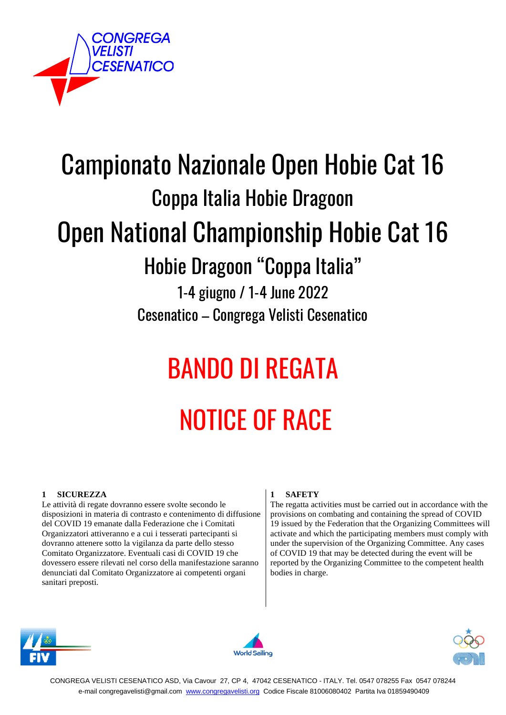

## Campionato Nazionale Open Hobie Cat 16 Coppa Italia Hobie Dragoon Open National Championship Hobie Cat 16

### Hobie Dragoon "Coppa Italia"

1-4 giugno / 1-4 June 2022 Cesenatico – Congrega Velisti Cesenatico

# BANDO DI REGATA NOTICE OF RACE

#### **1 SICUREZZA**

Le attività di regate dovranno essere svolte secondo le disposizioni in materia di contrasto e contenimento di diffusione del COVID 19 emanate dalla Federazione che i Comitati Organizzatori attiveranno e a cui i tesserati partecipanti si dovranno attenere sotto la vigilanza da parte dello stesso Comitato Organizzatore. Eventuali casi di COVID 19 che dovessero essere rilevati nel corso della manifestazione saranno denunciati dal Comitato Organizzatore ai competenti organi sanitari preposti.

#### **1 SAFETY**

The regatta activities must be carried out in accordance with the provisions on combating and containing the spread of COVID 19 issued by the Federation that the Organizing Committees will activate and which the participating members must comply with under the supervision of the Organizing Committee. Any cases of COVID 19 that may be detected during the event will be reported by the Organizing Committee to the competent health bodies in charge.





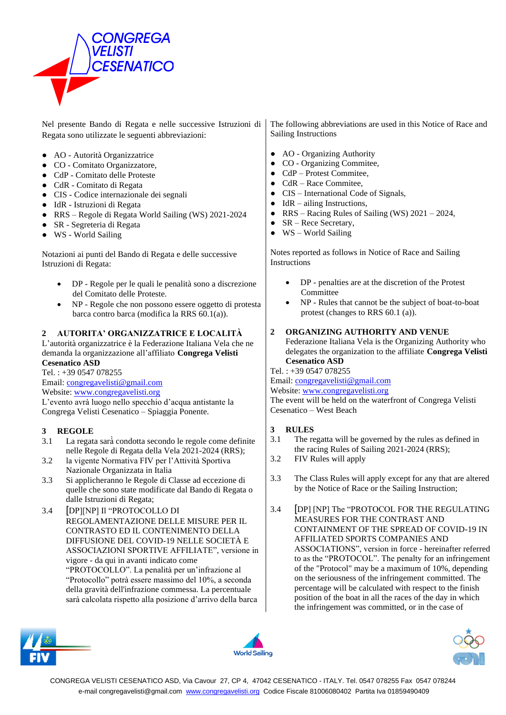

Nel presente Bando di Regata e nelle successive Istruzioni di Regata sono utilizzate le seguenti abbreviazioni:

- AO Autorità Organizzatrice
- CO Comitato Organizzatore,
- CdP Comitato delle Proteste
- CdR Comitato di Regata
- CIS Codice internazionale dei segnali
- IdR Istruzioni di Regata
- RRS Regole di Regata World Sailing (WS) 2021-2024
- SR Segreteria di Regata
- WS World Sailing

Notazioni ai punti del Bando di Regata e delle successive Istruzioni di Regata:

- DP Regole per le quali le penalità sono a discrezione del Comitato delle Proteste.
- NP Regole che non possono essere oggetto di protesta barca contro barca (modifica la RRS 60.1(a)).

#### **2 AUTORITA' ORGANIZZATRICE E LOCALITÀ**

L'autorità organizzatrice è la Federazione Italiana Vela che ne demanda la organizzazione all'affiliato **Congrega Velisti Cesenatico ASD**

Tel. : +39 0547 078255

Email: congregavelisti@gmail.com Website: www.congregavelisti.org

L'evento avrà luogo nello specchio d'acqua antistante la Congrega Velisti Cesenatico – Spiaggia Ponente.

#### **3 REGOLE**

- 3.1 La regata sarà̀ condotta secondo le regole come definite nelle Regole di Regata della Vela 2021-2024 (RRS);
- 3.2 la vigente Normativa FIV per l'Attività Sportiva Nazionale Organizzata in Italia
- 3.3 Si applicheranno le Regole di Classe ad eccezione di quelle che sono state modificate dal Bando di Regata o dalle Istruzioni di Regata;
- 3.4 [DP][NP] Il "PROTOCOLLO DI REGOLAMENTAZIONE DELLE MISURE PER IL CONTRASTO ED IL CONTENIMENTO DELLA DIFFUSIONE DEL COVID-19 NELLE SOCIETÀ E ASSOCIAZIONI SPORTIVE AFFILIATE", versione in vigore - da qui in avanti indicato come "PROTOCOLLO". La penalità per un'infrazione al "Protocollo" potrà essere massimo del 10%, a seconda della gravità dell'infrazione commessa. La percentuale sarà calcolata rispetto alla posizione d'arrivo della barca

The following abbreviations are used in this Notice of Race and Sailing Instructions

- AO Organizing Authority
- CO Organizing Commitee,
- CdP Protest Commitee,
- $\bullet$  CdR Race Commitee,
- CIS International Code of Signals,
- $\bullet$  IdR ailing Instructions,
- RRS Racing Rules of Sailing (WS)  $2021 2024$ ,
- SR Rece Secretary,
- WS World Sailing

Notes reported as follows in Notice of Race and Sailing **Instructions** 

- DP penalties are at the discretion of the Protest Committee
- NP Rules that cannot be the subject of boat-to-boat protest (changes to RRS 60.1 (a)).

#### **2 ORGANIZING AUTHORITY AND VENUE**

Federazione Italiana Vela is the Organizing Authority who delegates the organization to the affiliate **Congrega Velisti Cesenatico ASD**

Tel. : +39 0547 078255

Email: congregavelisti@gmail.com

#### Website: www.congregavelisti.org

The event will be held on the waterfront of Congrega Velisti Cesenatico – West Beach

#### **3 RULES**

- 3.1 The regatta will be governed by the rules as defined in the racing Rules of Sailing 2021-2024 (RRS);
- 3.2 FIV Rules will apply
- 3.3 The Class Rules will apply except for any that are altered by the Notice of Race or the Sailing Instruction;
- 3.4 [DP] [NP] The "PROTOCOL FOR THE REGULATING MEASURES FOR THE CONTRAST AND CONTAINMENT OF THE SPREAD OF COVID-19 IN AFFILIATED SPORTS COMPANIES AND ASSOCIATIONS", version in force - hereinafter referred to as the "PROTOCOL". The penalty for an infringement of the "Protocol" may be a maximum of 10%, depending on the seriousness of the infringement committed. The percentage will be calculated with respect to the finish position of the boat in all the races of the day in which the infringement was committed, or in the case of





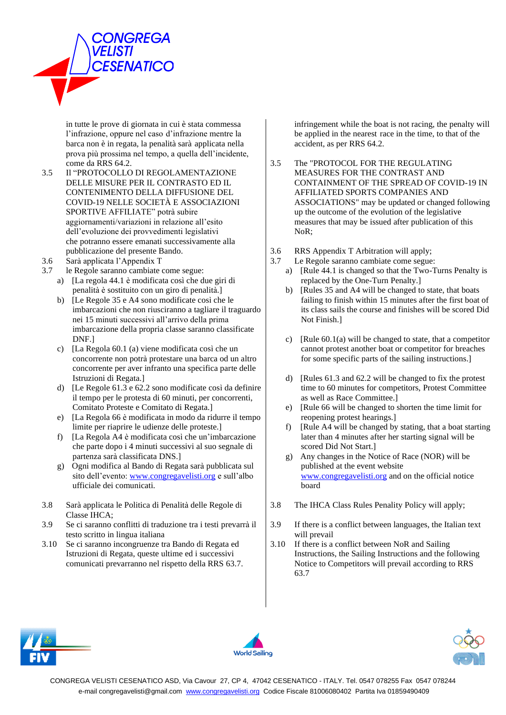

in tutte le prove di giornata in cui è stata commessa l'infrazione, oppure nel caso d'infrazione mentre la barca non è in regata, la penalità sarà applicata nella prova più prossima nel tempo, a quella dell'incidente, come da RRS 64.2.

- 3.5 Il "PROTOCOLLO DI REGOLAMENTAZIONE DELLE MISURE PER IL CONTRASTO ED IL CONTENIMENTO DELLA DIFFUSIONE DEL COVID-19 NELLE SOCIETÀ E ASSOCIAZIONI SPORTIVE AFFILIATE" potrà subire aggiornamenti/variazioni in relazione all'esito dell'evoluzione dei provvedimenti legislativi che potranno essere emanati successivamente alla pubblicazione del presente Bando.
- 3.6 Sarà applicata l'Appendix T
- 3.7 le Regole saranno cambiate come segue:
	- a) [La regola 44.1 è modificata così che due giri di penalità è sostituito con un giro di penalità.]
	- b) [Le Regole 35 e A4 sono modificate così che le imbarcazioni che non riusciranno a tagliare il traguardo nei 15 minuti successivi all'arrivo della prima imbarcazione della propria classe saranno classificate DNF.]
	- c) [La Regola 60.1 (a) viene modificata così che un concorrente non potrà protestare una barca od un altro concorrente per aver infranto una specifica parte delle Istruzioni di Regata.]
	- d) [Le Regole 61.3 e 62.2 sono modificate così da definire il tempo per le protesta di 60 minuti, per concorrenti, Comitato Proteste e Comitato di Regata.]
	- e) [La Regola 66 è modificata in modo da ridurre il tempo limite per riaprire le udienze delle proteste.]
	- f) [La Regola A4 è modificata così che un'imbarcazione che parte dopo i 4 minuti successivi al suo segnale di partenza sarà classificata DNS.]
	- g) Ogni modifica al Bando di Regata sarà pubblicata sul sito dell'evento: www.congregavelisti.org e sull'albo ufficiale dei comunicati.
- 3.8 Sarà applicata le Politica di Penalità delle Regole di Classe IHCA;
- 3.9 Se ci saranno conflitti di traduzione tra i testi prevarrà il testo scritto in lingua italiana
- 3.10 Se ci saranno incongruenze tra Bando di Regata ed Istruzioni di Regata, queste ultime ed i successivi comunicati prevarranno nel rispetto della RRS 63.7.

infringement while the boat is not racing, the penalty will be applied in the nearest race in the time, to that of the accident, as per RRS 64.2.

- 3.5 The "PROTOCOL FOR THE REGULATING MEASURES FOR THE CONTRAST AND CONTAINMENT OF THE SPREAD OF COVID-19 IN AFFILIATED SPORTS COMPANIES AND ASSOCIATIONS" may be updated or changed following up the outcome of the evolution of the legislative measures that may be issued after publication of this NoR;
- 3.6 RRS Appendix T Arbitration will apply;
- 3.7 Le Regole saranno cambiate come segue:
	- a) [Rule 44.1 is changed so that the Two-Turns Penalty is replaced by the One-Turn Penalty.]
	- b) [Rules 35 and A4 will be changed to state, that boats failing to finish within 15 minutes after the first boat of its class sails the course and finishes will be scored Did Not Finish.]
	- c) [Rule  $60.1(a)$  will be changed to state, that a competitor cannot protest another boat or competitor for breaches for some specific parts of the sailing instructions.]
	- d) [Rules 61.3 and 62.2 will be changed to fix the protest time to 60 minutes for competitors, Protest Committee as well as Race Committee.]
	- e) [Rule 66 will be changed to shorten the time limit for reopening protest hearings.]
	- f) [Rule A4 will be changed by stating, that a boat starting later than 4 minutes after her starting signal will be scored Did Not Start.]
	- g) Any changes in the Notice of Race (NOR) will be published at the event website www.congregavelisti.org and on the official notice board
- 3.8 The IHCA Class Rules Penality Policy will apply;
- 3.9 If there is a conflict between languages, the Italian text will prevail
- 3.10 If there is a conflict between NoR and Sailing Instructions, the Sailing Instructions and the following Notice to Competitors will prevail according to RRS 63.7





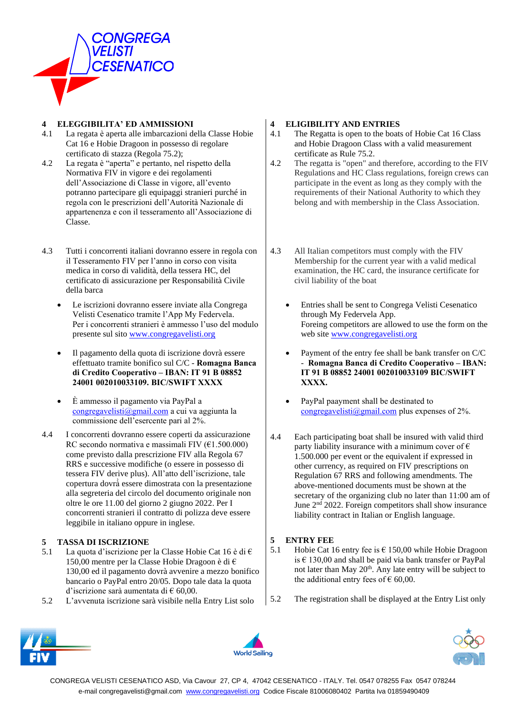

#### **4 ELEGGIBILITA' ED AMMISSIONI**

- 4.1 La regata è aperta alle imbarcazioni della Classe Hobie Cat 16 e Hobie Dragoon in possesso di regolare certificato di stazza (Regola 75.2);
- 4.2 La regata è "aperta" e pertanto, nel rispetto della Normativa FIV in vigore e dei regolamenti dell'Associazione di Classe in vigore, all'evento potranno partecipare gli equipaggi stranieri purché in regola con le prescrizioni dell'Autorità Nazionale di appartenenza e con il tesseramento all'Associazione di Classe.
- 4.3 Tutti i concorrenti italiani dovranno essere in regola con il Tesseramento FIV per l'anno in corso con visita medica in corso di validità, della tessera HC, del certificato di assicurazione per Responsabilità Civile della barca
	- Le iscrizioni dovranno essere inviate alla Congrega Velisti Cesenatico tramite l'App My Federvela. Per i concorrenti stranieri è ammesso l'uso del modulo presente sul sito www.congregavelisti.org
	- Il pagamento della quota di iscrizione dovrà essere effettuato tramite bonifico sul C/C - **Romagna Banca di Credito Cooperativo – IBAN: IT 91 B 08852 24001 002010033109. BIC/SWIFT XXXX**
	- È ammesso il pagamento via PayPal a congregavelisti@gmail.com a cui va aggiunta la commissione dell'esercente pari al 2%.
- 4.4 I concorrenti dovranno essere coperti da assicurazione RC secondo normativa e massimali FIV  $(\text{\textsterling}1.500.000)$ come previsto dalla prescrizione FIV alla Regola 67 RRS e successive modifiche (o essere in possesso di tessera FIV derive plus). All'atto dell'iscrizione, tale copertura dovrà̀ essere dimostrata con la presentazione alla segreteria del circolo del documento originale non oltre le ore 11.00 del giorno 2 giugno 2022. Per I concorrenti stranieri il contratto di polizza deve essere leggibile in italiano oppure in inglese.

#### **5 TASSA DI ISCRIZIONE**

- 5.1 La quota d'iscrizione per la Classe Hobie Cat 16 è di  $\epsilon$ 150,00 mentre per la Classe Hobie Dragoon è di € 130,00 ed il pagamento dovrà avvenire a mezzo bonifico bancario o PayPal entro 20/05. Dopo tale data la quota d'iscrizione sarà aumentata di € 60,00.
- 5.2 L'avvenuta iscrizione sarà visibile nella Entry List solo

#### **4 ELIGIBILITY AND ENTRIES**

- 4.1 The Regatta is open to the boats of Hobie Cat 16 Class and Hobie Dragoon Class with a valid measurement certificate as Rule 75.2.
- 4.2 The regatta is "open" and therefore, according to the FIV Regulations and HC Class regulations, foreign crews can participate in the event as long as they comply with the requirements of their National Authority to which they belong and with membership in the Class Association.
- 4.3 All Italian competitors must comply with the FIV Membership for the current year with a valid medical examination, the HC card, the insurance certificate for civil liability of the boat
	- Entries shall be sent to Congrega Velisti Cesenatico through My Federvela App. Foreing competitors are allowed to use the form on the web site www.congregavelisti.org
	- Payment of the entry fee shall be bank transfer on C/C - **Romagna Banca di Credito Cooperativo – IBAN: IT 91 B 08852 24001 002010033109 BIC/SWIFT XXXX.**
	- PayPal paayment shall be destinated to congregavelisti@gmail.com plus expenses of 2%.
- 4.4 Each participating boat shall be insured with valid third party liability insurance with a minimum cover of  $\epsilon$ 1.500.000 per event or the equivalent if expressed in other currency, as required on FIV prescriptions on Regulation 67 RRS and following amendments. The above-mentioned documents must be shown at the secretary of the organizing club no later than 11:00 am of June 2<sup>nd</sup> 2022. Foreign competitors shall show insurance liability contract in Italian or English language.

#### **5 ENTRY FEE**

- 5.1 Hobie Cat 16 entry fee is € 150,00 while Hobie Dragoon is  $\epsilon$  130,00 and shall be paid via bank transfer or PayPal not later than May 20<sup>th</sup>. Any late entry will be subject to the additional entry fees of  $\epsilon$  60,00.
- 5.2 The registration shall be displayed at the Entry List only





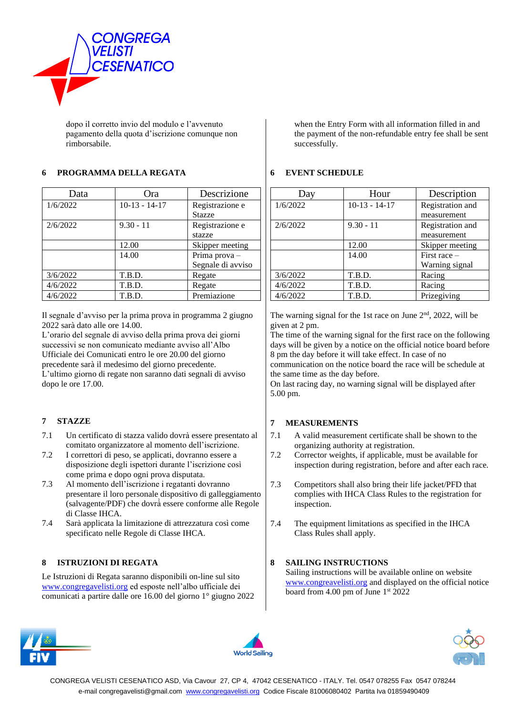

dopo il corretto invio del modulo e l'avvenuto pagamento della quota d'iscrizione comunque non rimborsabile.

#### **6 PROGRAMMA DELLA REGATA**

| Data     | Ora             | Descrizione       |
|----------|-----------------|-------------------|
| 1/6/2022 | $10-13 - 14-17$ | Registrazione e   |
|          |                 | <b>Stazze</b>     |
| 2/6/2022 | $9.30 - 11$     | Registrazione e   |
|          |                 | stazze            |
|          | 12.00           | Skipper meeting   |
|          | 14.00           | Prima prova-      |
|          |                 | Segnale di avviso |
| 3/6/2022 | T.B.D.          | Regate            |
| 4/6/2022 | T.B.D.          | Regate            |
| 4/6/2022 | T.B.D.          | Premiazione       |

Il segnale d'avviso per la prima prova in programma 2 giugno 2022 sarà dato alle ore 14.00.

L'orario del segnale di avviso della prima prova dei giorni successivi se non comunicato mediante avviso all'Albo Ufficiale dei Comunicati entro le ore 20.00 del giorno precedente sarà il medesimo del giorno precedente. L'ultimo giorno di regate non saranno dati segnali di avviso dopo le ore 17.00.

#### **7 STAZZE**

- 7.1 Un certificato di stazza valido dovrà essere presentato al comitato organizzatore al momento dell'iscrizione.
- 7.2 I correttori di peso, se applicati, dovranno essere a disposizione degli ispettori durante l'iscrizione così come prima e dopo ogni prova disputata.
- 7.3 Al momento dell'iscrizione i regatanti dovranno presentare il loro personale dispositivo di galleggiamento (salvagente/PDF) che dovrà̀ essere conforme alle Regole di Classe IHCA.
- 7.4 Sarà applicata la limitazione di attrezzatura così come specificato nelle Regole di Classe IHCA.

#### **8 ISTRUZIONI DI REGATA**

Le Istruzioni di Regata saranno disponibili on-line sul sito www.congregavelisti.org ed esposte nell'albo ufficiale dei comunicati a partire dalle ore 16.00 del giorno 1° giugno 2022

when the Entry Form with all information filled in and the payment of the non-refundable entry fee shall be sent successfully.

#### **6 EVENT SCHEDULE**

| Day      | Hour            | Description      |
|----------|-----------------|------------------|
| 1/6/2022 | $10-13 - 14-17$ | Registration and |
|          |                 | measurement      |
| 2/6/2022 | $9.30 - 11$     | Registration and |
|          |                 | measurement      |
|          | 12.00           | Skipper meeting  |
|          | 14.00           | First race -     |
|          |                 | Warning signal   |
| 3/6/2022 | T.B.D.          | Racing           |
| 4/6/2022 | T.B.D.          | Racing           |
| 4/6/2022 | T.B.D.          | Prizegiving      |

The warning signal for the 1st race on June  $2<sup>nd</sup>$ , 2022, will be given at 2 pm.

The time of the warning signal for the first race on the following days will be given by a notice on the official notice board before 8 pm the day before it will take effect. In case of no

communication on the notice board the race will be schedule at the same time as the day before.

On last racing day, no warning signal will be displayed after 5.00 pm.

#### **7 MEASUREMENTS**

- 7.1 A valid measurement certificate shall be shown to the organizing authority at registration.
- 7.2 Corrector weights, if applicable, must be available for inspection during registration, before and after each race.
- 7.3 Competitors shall also bring their life jacket/PFD that complies with IHCA Class Rules to the registration for inspection.
- 7.4 The equipment limitations as specified in the IHCA Class Rules shall apply.

#### **8 SAILING INSTRUCTIONS**

Sailing instructions will be available online on website www.congreavelisti.org and displayed on the official notice board from 4.00 pm of June 1st 2022





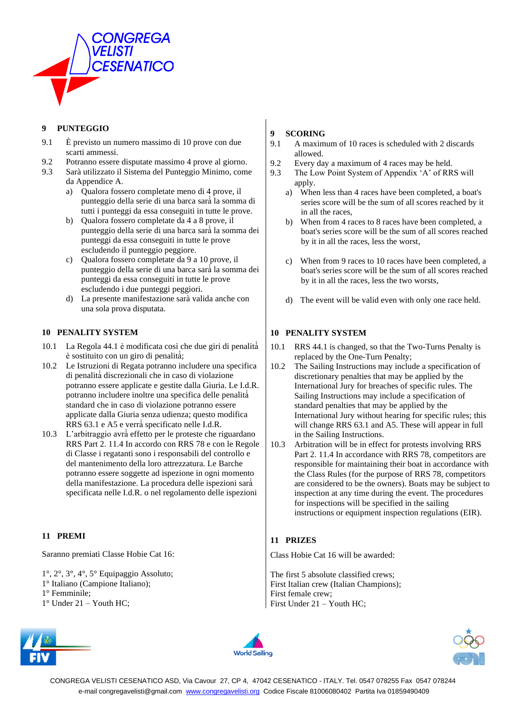

#### **9 PUNTEGGIO**

- 9.1 È previsto un numero massimo di 10 prove con due scarti ammessi.
- 9.2 Potranno essere disputate massimo 4 prove al giorno.
- 9.3 Sarà utilizzato il Sistema del Punteggio Minimo, come da Appendice A.
	- a) Qualora fossero completate meno di 4 prove, il punteggio della serie di una barca sarà̀ la somma di tutti i punteggi da essa conseguiti in tutte le prove.
	- b) Qualora fossero completate da 4 a 8 prove, il punteggio della serie di una barca sarà̀ la somma dei punteggi da essa conseguiti in tutte le prove escludendo il punteggio peggiore.
	- c) Qualora fossero completate da 9 a 10 prove, il punteggio della serie di una barca sarà̀ la somma dei punteggi da essa conseguiti in tutte le prove escludendo i due punteggi peggiori.
	- d) La presente manifestazione sarà valida anche con una sola prova disputata.

#### **10 PENALITY SYSTEM**

- 10.1 La Regola 44.1 è modificata così che due giri di penalità̀ è sostituito con un giro di penalità̀;
- 10.2 Le Istruzioni di Regata potranno includere una specifica di penalità̀ discrezionali che in caso di violazione potranno essere applicate e gestite dalla Giuria. Le I.d.R. potranno includere inoltre una specifica delle penalità̀ standard che in caso di violazione potranno essere applicate dalla Giuria senza udienza; questo modifica RRS 63.1 e A5 e verrà̀specificato nelle I.d.R.
- 10.3 L'arbitraggio avrà̀ effetto per le proteste che riguardano RRS Part 2. 11.4 In accordo con RRS 78 e con le Regole di Classe i regatanti sono i responsabili del controllo e del mantenimento della loro attrezzatura. Le Barche potranno essere soggette ad ispezione in ogni momento della manifestazione. La procedura delle ispezioni sarà̀ specificata nelle I.d.R. o nel regolamento delle ispezioni

#### **11 PREMI**

Saranno premiati Classe Hobie Cat 16:

- 1°, 2°, 3°, 4°, 5° Equipaggio Assoluto;
- 1° Italiano (Campione Italiano);
- 1° Femminile;
- 1° Under 21 Youth HC;

#### **9 SCORING**

- 9.1 A maximum of 10 races is scheduled with 2 discards allowed.
- 9.2 Every day a maximum of 4 races may be held.
- 9.3 The Low Point System of Appendix 'A' of RRS will apply.
	- a) When less than 4 races have been completed, a boat's series score will be the sum of all scores reached by it in all the races,
	- b) When from 4 races to 8 races have been completed, a boat's series score will be the sum of all scores reached by it in all the races, less the worst,
	- c) When from 9 races to 10 races have been completed, a boat's series score will be the sum of all scores reached by it in all the races, less the two worsts,
	- d) The event will be valid even with only one race held.

#### **10 PENALITY SYSTEM**

- 10.1 RRS 44.1 is changed, so that the Two-Turns Penalty is replaced by the One-Turn Penalty;
- 10.2 The Sailing Instructions may include a specification of discretionary penalties that may be applied by the International Jury for breaches of specific rules. The Sailing Instructions may include a specification of standard penalties that may be applied by the International Jury without hearing for specific rules; this will change RRS 63.1 and A5. These will appear in full in the Sailing Instructions.
- 10.3 Arbitration will be in effect for protests involving RRS Part 2. 11.4 In accordance with RRS 78, competitors are responsible for maintaining their boat in accordance with the Class Rules (for the purpose of RRS 78, competitors are considered to be the owners). Boats may be subject to inspection at any time during the event. The procedures for inspections will be specified in the sailing instructions or equipment inspection regulations (EIR).

#### **11 PRIZES**

Class Hobie Cat 16 will be awarded:

The first 5 absolute classified crews; First Italian crew (Italian Champions); First female crew; First Under 21 – Youth HC;





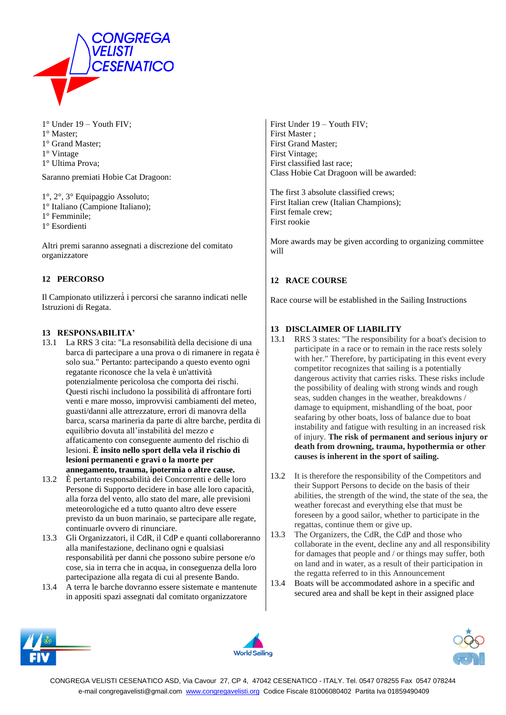

1° Under 19 – Youth FIV;

- 1° Master;
- 1° Grand Master;
- 1° Vintage
- 1° Ultima Prova;

Saranno premiati Hobie Cat Dragoon:

1°, 2°, 3° Equipaggio Assoluto;

- 1° Italiano (Campione Italiano);
- 1° Femminile;
- 1° Esordienti

Altri premi saranno assegnati a discrezione del comitato organizzatore

#### **12 PERCORSO**

Il Campionato utilizzerà̀ i percorsi che saranno indicati nelle Istruzioni di Regata.

#### **13 RESPONSABILITA'**

- 13.1 La RRS 3 cita: "La resonsabilità della decisione di una barca di partecipare a una prova o di rimanere in regata è solo sua." Pertanto: partecipando a questo evento ogni regatante riconosce che la vela è un'attività potenzialmente pericolosa che comporta dei rischi. Questi rischi includono la possibilità di affrontare forti venti e mare mosso, improvvisi cambiamenti del meteo, guasti/danni alle attrezzature, errori di manovra della barca, scarsa marineria da parte di altre barche, perdita di equilibrio dovuta all'instabilità del mezzo e affaticamento con conseguente aumento del rischio di lesioni. **È insito nello sport della vela il rischio di lesioni permanenti e gravi o la morte per annegamento, trauma, ipotermia o altre cause.**
- 13.2 È pertanto responsabilità dei Concorrenti e delle loro Persone di Supporto decidere in base alle loro capacità, alla forza del vento, allo stato del mare, alle previsioni meteorologiche ed a tutto quanto altro deve essere previsto da un buon marinaio, se partecipare alle regate, continuarle ovvero di rinunciare.
- 13.3 Gli Organizzatori, il CdR, il CdP e quanti collaboreranno alla manifestazione, declinano ogni e qualsiasi responsabilità per danni che possono subire persone e/o cose, sia in terra che in acqua, in conseguenza della loro partecipazione alla regata di cui al presente Bando.
- 13.4 A terra le barche dovranno essere sistemate e mantenute in appositi spazi assegnati dal comitato organizzatore

First Under 19 – Youth FIV; First Master ; First Grand Master; First Vintage; First classified last race; Class Hobie Cat Dragoon will be awarded:

The first 3 absolute classified crews; First Italian crew (Italian Champions); First female crew; First rookie

More awards may be given according to organizing committee will

#### **12 RACE COURSE**

Race course will be established in the Sailing Instructions

#### **13 DISCLAIMER OF LIABILITY**

- 13.1 RRS 3 states: "The responsibility for a boat's decision to participate in a race or to remain in the race rests solely with her." Therefore, by participating in this event every competitor recognizes that sailing is a potentially dangerous activity that carries risks. These risks include the possibility of dealing with strong winds and rough seas, sudden changes in the weather, breakdowns / damage to equipment, mishandling of the boat, poor seafaring by other boats, loss of balance due to boat instability and fatigue with resulting in an increased risk of injury. **The risk of permanent and serious injury or death from drowning, trauma, hypothermia or other causes is inherent in the sport of sailing.**
- 13.2 It is therefore the responsibility of the Competitors and their Support Persons to decide on the basis of their abilities, the strength of the wind, the state of the sea, the weather forecast and everything else that must be foreseen by a good sailor, whether to participate in the regattas, continue them or give up.
- 13.3 The Organizers, the CdR, the CdP and those who collaborate in the event, decline any and all responsibility for damages that people and / or things may suffer, both on land and in water, as a result of their participation in the regatta referred to in this Announcement
- 13.4 Boats will be accommodated ashore in a specific and secured area and shall be kept in their assigned place